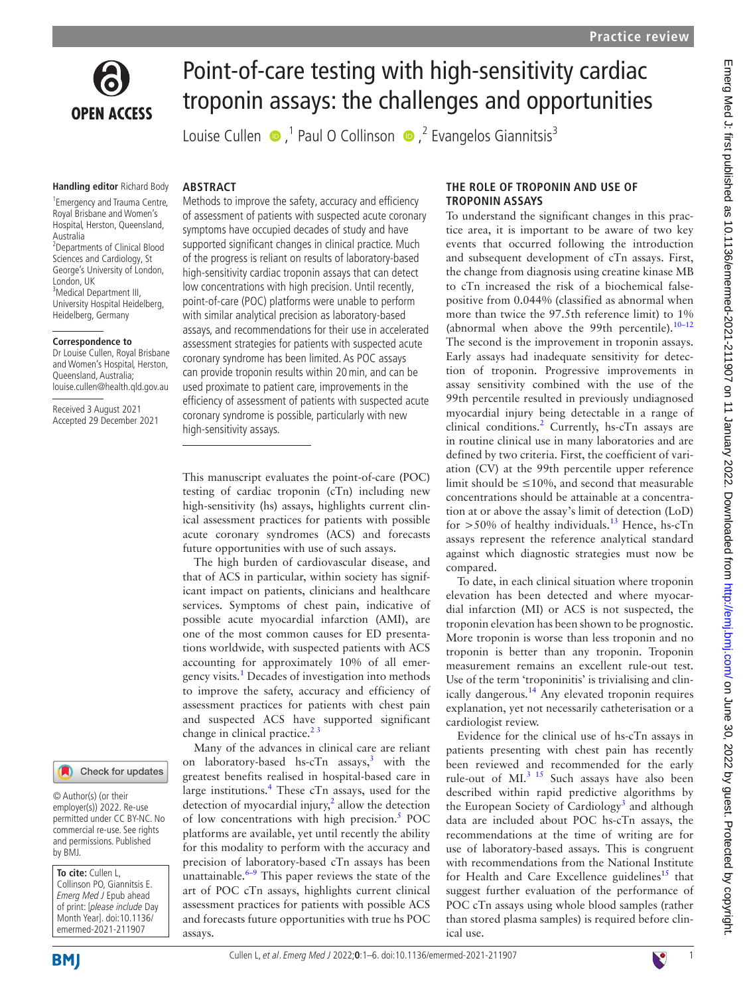

# Point-of-care testing with high-sensitivity cardiac troponin assays: the challenges and opportunities

LouiseCullen  $\bullet$ ,<sup>1</sup> Paul O Collinson  $\bullet$ ,<sup>2</sup> Evangelos Giannitsis<sup>3</sup>

#### **Handling editor** Richard Body

**ARSTRACT** 

1 Emergency and Trauma Centre, Royal Brisbane and Women's Hospital, Herston, Queensland, Australia 2 Departments of Clinical Blood Sciences and Cardiology, St George's University of London, London, UK <sup>3</sup>Medical Department III, University Hospital Heidelberg, Heidelberg, Germany

#### **Correspondence to**

Dr Louise Cullen, Royal Brisbane and Women's Hospital, Herston, Queensland, Australia; louise.cullen@health.qld.gov.au

Received 3 August 2021 Accepted 29 December 2021

#### Check for updates

© Author(s) (or their employer(s)) 2022. Re-use permitted under CC BY-NC. No commercial re-use. See rights and permissions. Published by BMJ.

**To cite:** Cullen L, Collinson PO, Giannitsis E. Emerg Med J Epub ahead of print: [please include Day Month Year]. doi:10.1136/ emermed-2021-211907

**BMI** 

Methods to improve the safety, accuracy and efficiency of assessment of patients with suspected acute coronary symptoms have occupied decades of study and have supported significant changes in clinical practice. Much of the progress is reliant on results of laboratory-based high-sensitivity cardiac troponin assays that can detect low concentrations with high precision. Until recently, point-of-care (POC) platforms were unable to perform with similar analytical precision as laboratory-based assays, and recommendations for their use in accelerated assessment strategies for patients with suspected acute coronary syndrome has been limited. As POC assays can provide troponin results within 20min, and can be used proximate to patient care, improvements in the efficiency of assessment of patients with suspected acute coronary syndrome is possible, particularly with new high-sensitivity assays.

This manuscript evaluates the point-of-care (POC) testing of cardiac troponin (cTn) including new high-sensitivity (hs) assays, highlights current clinical assessment practices for patients with possible acute coronary syndromes (ACS) and forecasts future opportunities with use of such assays.

The high burden of cardiovascular disease, and that of ACS in particular, within society has significant impact on patients, clinicians and healthcare services. Symptoms of chest pain, indicative of possible acute myocardial infarction (AMI), are one of the most common causes for ED presentations worldwide, with suspected patients with ACS accounting for approximately 10% of all emergency visits.<sup>1</sup> Decades of investigation into methods to improve the safety, accuracy and efficiency of assessment practices for patients with chest pain and suspected ACS have supported significant change in clinical practice.<sup>23</sup>

Many of the advances in clinical care are reliant on laboratory-based hs-cTn assays, $3$  with the greatest benefits realised in hospital-based care in large institutions.<sup>[4](#page-4-3)</sup> These cTn assays, used for the detection of myocardial injury, $\lambda$  allow the detection of low concentrations with high precision.<sup>[5](#page-4-4)</sup> POC platforms are available, yet until recently the ability for this modality to perform with the accuracy and precision of laboratory-based cTn assays has been unattainable. $6-9$  This paper reviews the state of the art of POC cTn assays, highlights current clinical assessment practices for patients with possible ACS and forecasts future opportunities with true hs POC assays.

#### **THE ROLE OF TROPONIN AND USE OF TROPONIN ASSAYS**

To understand the significant changes in this practice area, it is important to be aware of two key events that occurred following the introduction and subsequent development of cTn assays. First, the change from diagnosis using creatine kinase MB to cTn increased the risk of a biochemical falsepositive from 0.044% (classified as abnormal when more than twice the 97.5th reference limit) to 1% (abnormal when above the 99th percentile). $10-12$ The second is the improvement in troponin assays. Early assays had inadequate sensitivity for detection of troponin. Progressive improvements in assay sensitivity combined with the use of the 99th percentile resulted in previously undiagnosed myocardial injury being detectable in a range of clinical conditions.<sup>[2](#page-4-1)</sup> Currently, hs-cTn assays are in routine clinical use in many laboratories and are defined by two criteria. First, the coefficient of variation (CV) at the 99th percentile upper reference limit should be  $\leq 10\%$ , and second that measurable concentrations should be attainable at a concentration at or above the assay's limit of detection (LoD) for  $>50\%$  of healthy individuals.<sup>13</sup> Hence, hs-cTn assays represent the reference analytical standard against which diagnostic strategies must now be compared.

To date, in each clinical situation where troponin elevation has been detected and where myocardial infarction (MI) or ACS is not suspected, the troponin elevation has been shown to be prognostic. More troponin is worse than less troponin and no troponin is better than any troponin. Troponin measurement remains an excellent rule-out test. Use of the term 'troponinitis' is trivialising and clinically dangerous.<sup>14</sup> Any elevated troponin requires explanation, yet not necessarily catheterisation or a cardiologist review.

Evidence for the clinical use of hs-cTn assays in patients presenting with chest pain has recently been reviewed and recommended for the early rule-out of MI.<sup>3 15</sup> Such assays have also been described within rapid predictive algorithms by the European Society of Cardiology<sup>[3](#page-4-2)</sup> and although data are included about POC hs-cTn assays, the recommendations at the time of writing are for use of laboratory-based assays. This is congruent with recommendations from the National Institute for Health and Care Excellence guidelines<sup>15</sup> that suggest further evaluation of the performance of POC cTn assays using whole blood samples (rather than stored plasma samples) is required before clinical use.

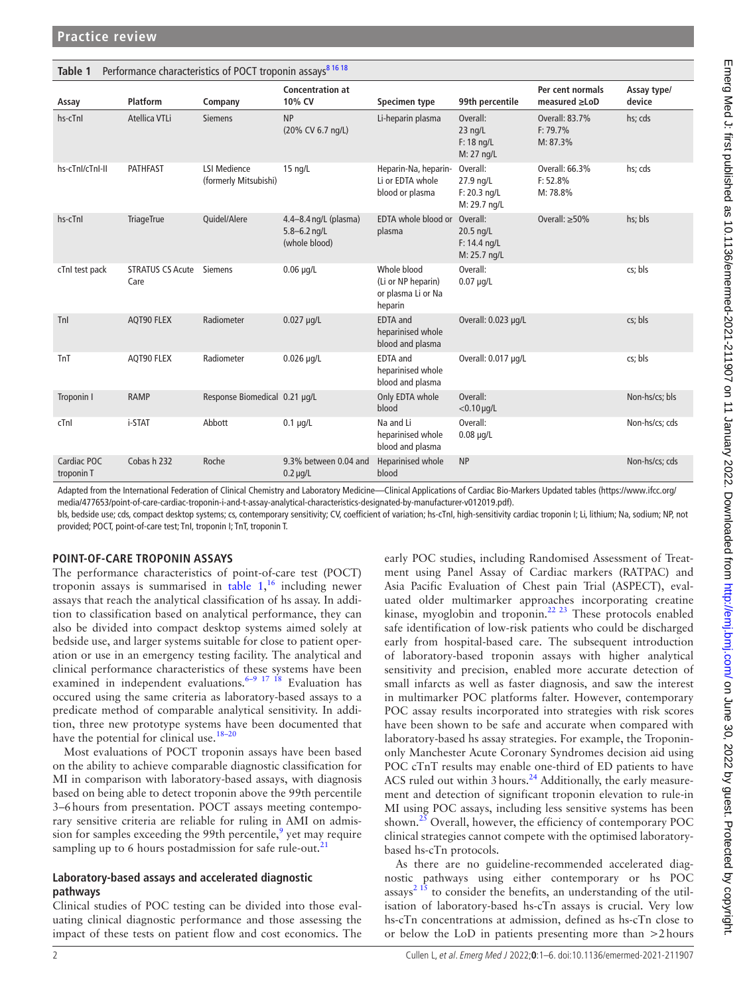<span id="page-1-0"></span>

| Performance characteristics of POCT troponin assays <sup>81618</sup><br>Table 1 |                                 |                                              |                                                            |                                                                    |                                                         |                                           |                       |
|---------------------------------------------------------------------------------|---------------------------------|----------------------------------------------|------------------------------------------------------------|--------------------------------------------------------------------|---------------------------------------------------------|-------------------------------------------|-----------------------|
| Assay                                                                           | Platform                        | Company                                      | <b>Concentration at</b><br>10% CV                          | Specimen type                                                      | 99th percentile                                         | Per cent normals<br>$measured \ge$ LoD    | Assay type/<br>device |
| hs-cTnl                                                                         | Atellica VTLi                   | <b>Siemens</b>                               | <b>NP</b><br>(20% CV 6.7 ng/L)                             | Li-heparin plasma                                                  | Overall:<br>$23$ ng/L<br>$F: 18$ ng/L<br>M: 27 ng/L     | Overall: 83.7%<br>$F: 79.7\%$<br>M: 87.3% | hs; cds               |
| hs-cTnl/cTnl-II                                                                 | <b>PATHFAST</b>                 | <b>LSI Medience</b><br>(formerly Mitsubishi) | $15$ ng/L                                                  | Heparin-Na, heparin-<br>Li or EDTA whole<br>blood or plasma        | Overall:<br>27.9 ng/L<br>$F: 20.3$ ng/L<br>M: 29.7 ng/L | Overall: 66.3%<br>F: 52.8%<br>M: 78.8%    | hs; cds               |
| hs-cTnI                                                                         | <b>TriageTrue</b>               | Quidel/Alere                                 | 4.4-8.4 ng/L (plasma)<br>$5.8 - 6.2$ ng/L<br>(whole blood) | EDTA whole blood or<br>plasma                                      | Overall:<br>20.5 ng/L<br>$F: 14.4$ ng/L<br>M: 25.7 ng/L | Overall: $\geq 50\%$                      | hs; bls               |
| cTnI test pack                                                                  | <b>STRATUS CS Acute</b><br>Care | <b>Siemens</b>                               | $0.06$ µg/L                                                | Whole blood<br>(Li or NP heparin)<br>or plasma Li or Na<br>heparin | Overall:<br>$0.07$ µg/L                                 |                                           | cs; bls               |
| Tnl                                                                             | AQT90 FLEX                      | Radiometer                                   | $0.027 \mu q/L$                                            | EDTA and<br>heparinised whole<br>blood and plasma                  | Overall: 0.023 µg/L                                     |                                           | cs; bls               |
| TnT                                                                             | AQT90 FLEX                      | Radiometer                                   | $0.026$ µg/L                                               | EDTA and<br>heparinised whole<br>blood and plasma                  | Overall: 0.017 µg/L                                     |                                           | cs; bls               |
| Troponin I                                                                      | <b>RAMP</b>                     | Response Biomedical 0.21 µg/L                |                                                            | Only EDTA whole<br>blood                                           | Overall:<br>$<$ 0.10 $\mu$ g/L                          |                                           | Non-hs/cs; bls        |
| cTnI                                                                            | i-STAT                          | Abbott                                       | $0.1 \mu g/L$                                              | Na and Li<br>heparinised whole<br>blood and plasma                 | Overall:<br>$0.08 \mu q/L$                              |                                           | Non-hs/cs; cds        |
| Cardiac POC<br>troponin T                                                       | Cobas h 232                     | Roche                                        | 9.3% between 0.04 and<br>$0.2 \mu g/L$                     | Heparinised whole<br>blood                                         | <b>NP</b>                                               |                                           | Non-hs/cs; cds        |

Adapted from the International Federation of Clinical Chemistry and Laboratory Medicine—Clinical Applications of Cardiac Bio-Markers Updated tables [\(https://www.ifcc.org/](https://www.ifcc.org/media/477653/point-of-care-cardiac-troponin-i-and-t-assay-analytical-characteristics-designated-by-manufacturer-v012019.pdf) [media/477653/point-of-care-cardiac-troponin-i-and-t-assay-analytical-characteristics-designated-by-manufacturer-v012019.pdf](https://www.ifcc.org/media/477653/point-of-care-cardiac-troponin-i-and-t-assay-analytical-characteristics-designated-by-manufacturer-v012019.pdf)).

bls, bedside use; cds, compact desktop systems; cs, contemporary sensitivity; CV, coefficient of variation; hs-cTnI, high-sensitivity cardiac troponin I; Li, lithium; Na, sodium; NP, not provided; POCT, point-of-care test; TnI, troponin I; TnT, troponin T.

### **POINT-OF-CARE TROPONIN ASSAYS**

The performance characteristics of point-of-care test (POCT) troponin assays is summarised in [table](#page-1-0)  $1,16$  $1,16$  including newer assays that reach the analytical classification of hs assay. In addition to classification based on analytical performance, they can also be divided into compact desktop systems aimed solely at bedside use, and larger systems suitable for close to patient operation or use in an emergency testing facility. The analytical and clinical performance characteristics of these systems have been examined in independent evaluations.<sup>6–9 17 18</sup> Evaluation has occured using the same criteria as laboratory-based assays to a predicate method of comparable analytical sensitivity. In addition, three new prototype systems have been documented that have the potential for clinical use.<sup>18-20</sup>

Most evaluations of POCT troponin assays have been based on the ability to achieve comparable diagnostic classification for MI in comparison with laboratory-based assays, with diagnosis based on being able to detect troponin above the 99th percentile 3–6hours from presentation. POCT assays meeting contemporary sensitive criteria are reliable for ruling in AMI on admis-sion for samples exceeding the [9](#page-4-12)9th percentile,  $9$  yet may require sampling up to 6 hours postadmission for safe rule-out. $^{21}$ 

#### **Laboratory-based assays and accelerated diagnostic pathways**

Clinical studies of POC testing can be divided into those evaluating clinical diagnostic performance and those assessing the impact of these tests on patient flow and cost economics. The early POC studies, including Randomised Assessment of Treatment using Panel Assay of Cardiac markers (RATPAC) and Asia Pacific Evaluation of Chest pain Trial (ASPECT), evaluated older multimarker approaches incorporating creatine kinase, myoglobin and troponin.<sup>22 23</sup> These protocols enabled safe identification of low-risk patients who could be discharged early from hospital-based care. The subsequent introduction of laboratory-based troponin assays with higher analytical sensitivity and precision, enabled more accurate detection of small infarcts as well as faster diagnosis, and saw the interest in multimarker POC platforms falter. However, contemporary POC assay results incorporated into strategies with risk scores have been shown to be safe and accurate when compared with laboratory-based hs assay strategies. For example, the Troponinonly Manchester Acute Coronary Syndromes decision aid using POC cTnT results may enable one-third of ED patients to have ACS ruled out within 3 hours.<sup>24</sup> Additionally, the early measurement and detection of significant troponin elevation to rule-in MI using POC assays, including less sensitive systems has been shown.<sup>25</sup> Overall, however, the efficiency of contemporary POC clinical strategies cannot compete with the optimised laboratorybased hs-cTn protocols.

As there are no guideline-recommended accelerated diagnostic pathways using either contemporary or hs POC  $assays<sup>2 15</sup>$  $assays<sup>2 15</sup>$  $assays<sup>2 15</sup>$  to consider the benefits, an understanding of the utilisation of laboratory-based hs-cTn assays is crucial. Very low hs-cTn concentrations at admission, defined as hs-cTn close to or below the LoD in patients presenting more than >2hours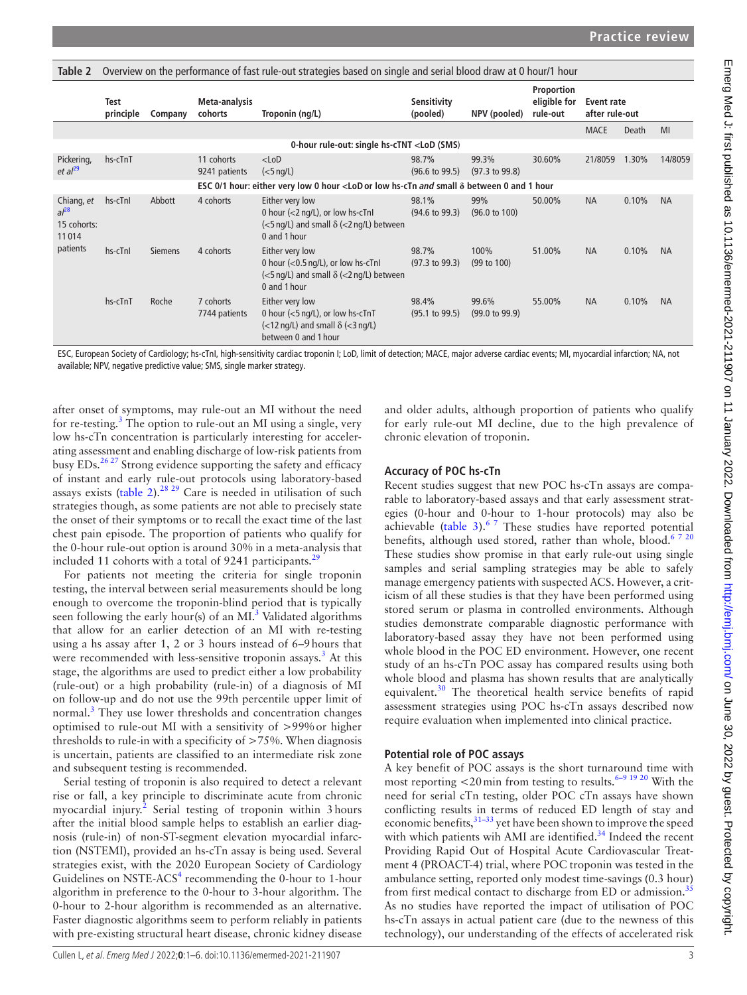<span id="page-2-0"></span>

| Table 2                                         | Overview on the performance of fast rule-out strategies based on single and serial blood draw at 0 hour/1 hour |                |                             |                                                                                                                                                                                                         |                                    |                                    |                                        |                              |       |           |
|-------------------------------------------------|----------------------------------------------------------------------------------------------------------------|----------------|-----------------------------|---------------------------------------------------------------------------------------------------------------------------------------------------------------------------------------------------------|------------------------------------|------------------------------------|----------------------------------------|------------------------------|-------|-----------|
|                                                 | <b>Test</b><br>principle                                                                                       | Company        | Meta-analysis<br>cohorts    | Troponin (ng/L)                                                                                                                                                                                         | Sensitivity<br>(pooled)            | NPV (pooled)                       | Proportion<br>eligible for<br>rule-out | Event rate<br>after rule-out |       |           |
|                                                 |                                                                                                                |                |                             |                                                                                                                                                                                                         |                                    |                                    |                                        | <b>MACE</b>                  | Death | MI        |
|                                                 |                                                                                                                |                |                             | 0-hour rule-out: single hs-cTNT <lod (sms)<="" td=""><td></td><td></td><td></td><td></td><td></td><td></td></lod>                                                                                       |                                    |                                    |                                        |                              |       |           |
| Pickering,<br>et al <sup>29</sup>               | hs-cTnT                                                                                                        |                | 11 cohorts<br>9241 patients | $<$ LoD<br>$(5$ ng/L)                                                                                                                                                                                   | 98.7%<br>$(96.6 \text{ to } 99.5)$ | 99.3%<br>$(97.3 \text{ to } 99.8)$ | 30.60%                                 | 21/8059                      | 1.30% | 14/8059   |
|                                                 |                                                                                                                |                |                             | ESC 0/1 hour: either very low 0 hour <lod <math="" and="" hs-ctn="" low="" or="" small="">\delta between 0 and 1 hour</lod>                                                                             |                                    |                                    |                                        |                              |       |           |
| Chiang, et<br>$al^{28}$<br>15 cohorts:<br>11014 | hs-cTnI                                                                                                        | Abbott         | 4 cohorts                   | Either very low<br>0 hour (<2 ng/L), or low hs-cTnI<br>$\left\langle \langle 5 \rangle \right\rangle$ and small $\delta \left\langle \langle 2 \rangle \right\rangle$ between<br>0 and 1 hour           | 98.1%<br>$(94.6 \text{ to } 99.3)$ | 99%<br>$(96.0 \text{ to } 100)$    | 50.00%                                 | <b>NA</b>                    | 0.10% | <b>NA</b> |
| patients                                        | hs-cTnl                                                                                                        | <b>Siemens</b> | 4 cohorts                   | Either very low<br>0 hour $\left($ <0.5 ng/L), or low hs-cTnI<br>$\left\langle \langle 5 \rangle \right\rangle$ and small $\delta \left\langle \langle 2 \rangle \right\rangle$ between<br>0 and 1 hour | 98.7%<br>$(97.3 \text{ to } 99.3)$ | 100%<br>$(99 \text{ to } 100)$     | 51.00%                                 | <b>NA</b>                    | 0.10% | <b>NA</b> |
|                                                 | hs-cTnT                                                                                                        | Roche          | 7 cohorts<br>7744 patients  | Either very low<br>0 hour $(<5$ ng/L), or low hs-cTnT<br>$\left\langle \langle 12 \rangle \right\rangle$ and small $\delta \left\langle \langle 3 \rangle \right\rangle$<br>between 0 and 1 hour        | 98.4%<br>$(95.1 \text{ to } 99.5)$ | 99.6%<br>$(99.0 \text{ to } 99.9)$ | 55.00%                                 | <b>NA</b>                    | 0.10% | <b>NA</b> |

ESC, European Society of Cardiology; hs-cTnI, high-sensitivity cardiac troponin I; LoD, limit of detection; MACE, major adverse cardiac events; MI, myocardial infarction; NA, not available; NPV, negative predictive value; SMS, single marker strategy.

after onset of symptoms, may rule-out an MI without the need for re-testing.<sup>[3](#page-4-2)</sup> The option to rule-out an MI using a single, very low hs-cTn concentration is particularly interesting for accelerating assessment and enabling discharge of low-risk patients from busy EDs.<sup>26 27</sup> Strong evidence supporting the safety and efficacy of instant and early rule-out protocols using laboratory-based assays exists [\(table](#page-2-0) 2).<sup>28, 29</sup> Care is needed in utilisation of such strategies though, as some patients are not able to precisely state the onset of their symptoms or to recall the exact time of the last chest pain episode. The proportion of patients who qualify for the 0-hour rule-out option is around 30% in a meta-analysis that included 11 cohorts with a total of 9241 participants. $^{29}$  $^{29}$  $^{29}$ 

For patients not meeting the criteria for single troponin testing, the interval between serial measurements should be long enough to overcome the troponin-blind period that is typically seen following the early hour(s) of an  $MI<sup>3</sup>$  Validated algorithms that allow for an earlier detection of an MI with re-testing using a hs assay after 1, 2 or 3 hours instead of 6–9hours that were recommended with less-sensitive troponin assays.<sup>[3](#page-4-2)</sup> At this stage, the algorithms are used to predict either a low probability (rule-out) or a high probability (rule-in) of a diagnosis of MI on follow-up and do not use the 99th percentile upper limit of normal.<sup>3</sup> They use lower thresholds and concentration changes optimised to rule-out MI with a sensitivity of >99%or higher thresholds to rule-in with a specificity of  $>75%$ . When diagnosis is uncertain, patients are classified to an intermediate risk zone and subsequent testing is recommended.

Serial testing of troponin is also required to detect a relevant rise or fall, a key principle to discriminate acute from chronic myocardial injury.<sup>[2](#page-4-1)</sup> Serial testing of troponin within 3 hours after the initial blood sample helps to establish an earlier diagnosis (rule-in) of non-ST-segment elevation myocardial infarction (NSTEMI), provided an hs-cTn assay is being used. Several strategies exist, with the 2020 European Society of Cardiology Guidelines on NSTE-ACS<sup>[4](#page-4-3)</sup> recommending the 0-hour to 1-hour algorithm in preference to the 0-hour to 3-hour algorithm. The 0-hour to 2-hour algorithm is recommended as an alternative. Faster diagnostic algorithms seem to perform reliably in patients with pre-existing structural heart disease, chronic kidney disease

and older adults, although proportion of patients who qualify for early rule-out MI decline, due to the high prevalence of chronic elevation of troponin.

### **Accuracy of POC hs-cTn**

Recent studies suggest that new POC hs-cTn assays are comparable to laboratory-based assays and that early assessment strategies (0-hour and 0-hour to 1-hour protocols) may also be achievable ([table](#page-3-0) 3). $67$  These studies have reported potential benefits, although used stored, rather than whole, blood.<sup>67 20</sup> These studies show promise in that early rule-out using single samples and serial sampling strategies may be able to safely manage emergency patients with suspected ACS. However, a criticism of all these studies is that they have been performed using stored serum or plasma in controlled environments. Although studies demonstrate comparable diagnostic performance with laboratory-based assay they have not been performed using whole blood in the POC ED environment. However, one recent study of an hs-cTn POC assay has compared results using both whole blood and plasma has shown results that are analytically equivalent.<sup>30</sup> The theoretical health service benefits of rapid assessment strategies using POC hs-cTn assays described now require evaluation when implemented into clinical practice.

### **Potential role of POC assays**

A key benefit of POC assays is the short turnaround time with most reporting  $<$  20 min from testing to results.<sup>6–9 19 20</sup> With the need for serial cTn testing, older POC cTn assays have shown conflicting results in terms of reduced ED length of stay and economic benefits,  $31-33$  yet have been shown to improve the speed with which patients wih AMI are identified.<sup>34</sup> Indeed the recent Providing Rapid Out of Hospital Acute Cardiovascular Treatment 4 (PROACT-4) trial, where POC troponin was tested in the ambulance setting, reported only modest time-savings (0.3 hour) from first medical contact to discharge from ED or admission.<sup>[35](#page-4-24)</sup> As no studies have reported the impact of utilisation of POC hs-cTn assays in actual patient care (due to the newness of this technology), our understanding of the effects of accelerated risk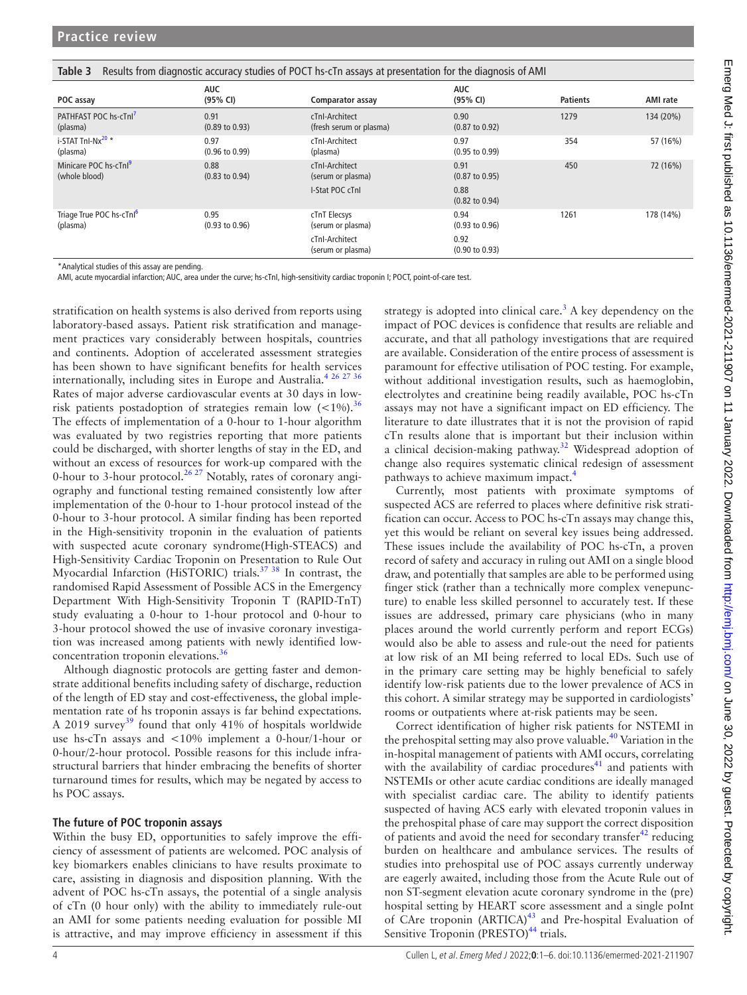<span id="page-3-0"></span>

| Table 3<br>Results from diagnostic accuracy studies of POCT hs-cTn assays at presentation for the diagnosis of AMI |                                   |                                           |                                   |                 |                 |  |  |
|--------------------------------------------------------------------------------------------------------------------|-----------------------------------|-------------------------------------------|-----------------------------------|-----------------|-----------------|--|--|
| POC assay                                                                                                          | <b>AUC</b><br>(95% CI)            | Comparator assay                          | <b>AUC</b><br>(95% CI)            | <b>Patients</b> | <b>AMI</b> rate |  |  |
| PATHFAST POC hs-cTnl <sup>7</sup><br>(plasma)                                                                      | 0.91<br>$(0.89 \text{ to } 0.93)$ | cTnI-Architect<br>(fresh serum or plasma) | 0.90<br>$(0.87 \text{ to } 0.92)$ | 1279            | 134 (20%)       |  |  |
| i-STAT Tnl-Nx <sup>20</sup> *<br>(plasma)                                                                          | 0.97<br>$(0.96 \text{ to } 0.99)$ | cTnI-Architect<br>(plasma)                | 0.97<br>$(0.95 \text{ to } 0.99)$ | 354             | 57 (16%)        |  |  |
| Minicare POC hs-cTnl <sup>9</sup><br>(whole blood)                                                                 | 0.88<br>$(0.83 \text{ to } 0.94)$ | cTnI-Architect<br>(serum or plasma)       | 0.91<br>$(0.87 \text{ to } 0.95)$ | 450             | 72 (16%)        |  |  |
|                                                                                                                    |                                   | I-Stat POC cTnl                           | 0.88<br>$(0.82 \text{ to } 0.94)$ |                 |                 |  |  |
| Triage True POC hs-cTnl <sup>6</sup><br>(plasma)                                                                   | 0.95<br>$(0.93 \text{ to } 0.96)$ | cTnT Elecsys<br>(serum or plasma)         | 0.94<br>$(0.93 \text{ to } 0.96)$ | 1261            | 178 (14%)       |  |  |
|                                                                                                                    |                                   | cTnl-Architect<br>(serum or plasma)       | 0.92<br>$(0.90 \text{ to } 0.93)$ |                 |                 |  |  |

\*Analytical studies of this assay are pending.

AMI, acute myocardial infarction; AUC, area under the curve; hs-cTnI, high-sensitivity cardiac troponin I; POCT, point-of-care test.

stratification on health systems is also derived from reports using laboratory-based assays. Patient risk stratification and management practices vary considerably between hospitals, countries and continents. Adoption of accelerated assessment strategies has been shown to have significant benefits for health services internationally, including sites in Europe and Australia.<sup>[4 26 27 36](#page-4-3)</sup> Rates of major adverse cardiovascular events at 30 days in lowrisk patients postadoption of strategies remain low  $(<1\%)$ .<sup>[36](#page-4-25)</sup> The effects of implementation of a 0-hour to 1-hour algorithm was evaluated by two registries reporting that more patients could be discharged, with shorter lengths of stay in the ED, and without an excess of resources for work-up compared with the 0-hour to 3-hour protocol.<sup>26 27</sup> Notably, rates of coronary angiography and functional testing remained consistently low after implementation of the 0-hour to 1-hour protocol instead of the 0-hour to 3-hour protocol. A similar finding has been reported in the High-sensitivity troponin in the evaluation of patients with suspected acute coronary syndrome(High-STEACS) and High-Sensitivity Cardiac Troponin on Presentation to Rule Out Myocardial Infarction (HiSTORIC) trials.<sup>37</sup> 38</sup> In contrast, the randomised Rapid Assessment of Possible ACS in the Emergency Department With High-Sensitivity Troponin T (RAPID-TnT) study evaluating a 0-hour to 1-hour protocol and 0-hour to 3-hour protocol showed the use of invasive coronary investigation was increased among patients with newly identified lowconcentration troponin elevations.<sup>36</sup>

Although diagnostic protocols are getting faster and demonstrate additional benefits including safety of discharge, reduction of the length of ED stay and cost-effectiveness, the global implementation rate of hs troponin assays is far behind expectations. A 2019 survey<sup>39</sup> found that only 41% of hospitals worldwide use hs-cTn assays and <10% implement a 0-hour/1-hour or 0-hour/2-hour protocol. Possible reasons for this include infrastructural barriers that hinder embracing the benefits of shorter turnaround times for results, which may be negated by access to hs POC assays.

#### **The future of POC troponin assays**

Within the busy ED, opportunities to safely improve the efficiency of assessment of patients are welcomed. POC analysis of key biomarkers enables clinicians to have results proximate to care, assisting in diagnosis and disposition planning. With the advent of POC hs-cTn assays, the potential of a single analysis of cTn (0 hour only) with the ability to immediately rule-out an AMI for some patients needing evaluation for possible MI is attractive, and may improve efficiency in assessment if this

strategy is adopted into clinical care.<sup>[3](#page-4-2)</sup> A key dependency on the impact of POC devices is confidence that results are reliable and accurate, and that all pathology investigations that are required are available. Consideration of the entire process of assessment is paramount for effective utilisation of POC testing. For example, without additional investigation results, such as haemoglobin, electrolytes and creatinine being readily available, POC hs-cTn assays may not have a significant impact on ED efficiency. The literature to date illustrates that it is not the provision of rapid cTn results alone that is important but their inclusion within a clinical decision-making pathway.<sup>[32](#page-4-26)</sup> Widespread adoption of change also requires systematic clinical redesign of assessment pathways to achieve maximum impact.[4](#page-4-3)

Currently, most patients with proximate symptoms of suspected ACS are referred to places where definitive risk stratification can occur. Access to POC hs-cTn assays may change this, yet this would be reliant on several key issues being addressed. These issues include the availability of POC hs-cTn, a proven record of safety and accuracy in ruling out AMI on a single blood draw, and potentially that samples are able to be performed using finger stick (rather than a technically more complex venepuncture) to enable less skilled personnel to accurately test. If these issues are addressed, primary care physicians (who in many places around the world currently perform and report ECGs) would also be able to assess and rule-out the need for patients at low risk of an MI being referred to local EDs. Such use of in the primary care setting may be highly beneficial to safely identify low-risk patients due to the lower prevalence of ACS in this cohort. A similar strategy may be supported in cardiologists' rooms or outpatients where at-risk patients may be seen.

Correct identification of higher risk patients for NSTEMI in the prehospital setting may also prove valuable.<sup>40</sup> Variation in the in-hospital management of patients with AMI occurs, correlating with the availability of cardiac procedures $41$  and patients with NSTEMIs or other acute cardiac conditions are ideally managed with specialist cardiac care. The ability to identify patients suspected of having ACS early with elevated troponin values in the prehospital phase of care may support the correct disposition of patients and avoid the need for secondary transfer $42$  reducing burden on healthcare and ambulance services. The results of studies into prehospital use of POC assays currently underway are eagerly awaited, including those from the Acute Rule out of non ST-segment elevation acute coronary syndrome in the (pre) hospital setting by HEART score assessment and a single poInt of CAre troponin  $(ARTICA)^{43}$  $(ARTICA)^{43}$  $(ARTICA)^{43}$  and Pre-hospital Evaluation of Sensitive Troponin (PRESTO)<sup>[44](#page-5-6)</sup> trials.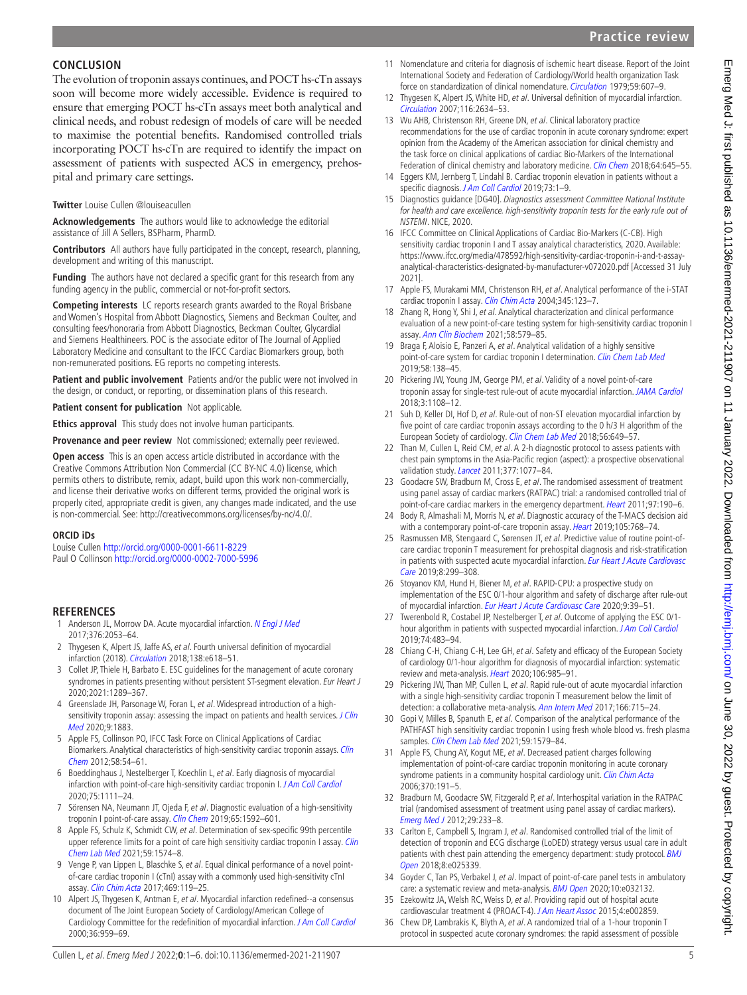## **Practice review**

## **CONCLUSION**

The evolution of troponin assays continues, and POCT hs-cTn assays soon will become more widely accessible. Evidence is required to ensure that emerging POCT hs-cTn assays meet both analytical and clinical needs, and robust redesign of models of care will be needed to maximise the potential benefits. Randomised controlled trials incorporating POCT hs-cTn are required to identify the impact on assessment of patients with suspected ACS in emergency, prehospital and primary care settings.

#### **Twitter** Louise Cullen [@louiseacullen](https://twitter.com/louiseacullen)

**Acknowledgements** The authors would like to acknowledge the editorial assistance of Jill A Sellers, BSPharm, PharmD.

**Contributors** All authors have fully participated in the concept, research, planning, development and writing of this manuscript.

**Funding** The authors have not declared a specific grant for this research from any funding agency in the public, commercial or not-for-profit sectors.

**Competing interests** LC reports research grants awarded to the Royal Brisbane and Women's Hospital from Abbott Diagnostics, Siemens and Beckman Coulter, and consulting fees/honoraria from Abbott Diagnostics, Beckman Coulter, Glycardial and Siemens Healthineers. POC is the associate editor of The Journal of Applied Laboratory Medicine and consultant to the IFCC Cardiac Biomarkers group, both non-remunerated positions. EG reports no competing interests.

**Patient and public involvement** Patients and/or the public were not involved in the design, or conduct, or reporting, or dissemination plans of this research.

**Patient consent for publication** Not applicable.

**Ethics approval** This study does not involve human participants.

**Provenance and peer review** Not commissioned; externally peer reviewed.

**Open access** This is an open access article distributed in accordance with the Creative Commons Attribution Non Commercial (CC BY-NC 4.0) license, which permits others to distribute, remix, adapt, build upon this work non-commercially, and license their derivative works on different terms, provided the original work is properly cited, appropriate credit is given, any changes made indicated, and the use is non-commercial. See: <http://creativecommons.org/licenses/by-nc/4.0/>.

#### **ORCID iDs**

Louise Cullen <http://orcid.org/0000-0001-6611-8229> Paul O Collinson <http://orcid.org/0000-0002-7000-5996>

### **REFERENCES**

- <span id="page-4-0"></span>1 Anderson JL, Morrow DA. Acute myocardial infarction. [N Engl J Med](http://dx.doi.org/10.1056/NEJMra1606915) 2017;376:2053–64.
- <span id="page-4-1"></span>2 Thygesen K, Alpert JS, Jaffe AS, et al. Fourth universal definition of myocardial infarction (2018). [Circulation](http://dx.doi.org/10.1161/CIR.0000000000000617) 2018;138:e618–51.
- <span id="page-4-2"></span>3 Collet JP, Thiele H, Barbato E. ESC guidelines for the management of acute coronary syndromes in patients presenting without persistent ST-segment elevation. Eur Heart J 2020;2021:1289–367.
- <span id="page-4-3"></span>4 Greenslade JH, Parsonage W, Foran L, et al. Widespread introduction of a highsensitivity troponin assay: assessing the impact on patients and health services. J Clin [Med](http://dx.doi.org/10.3390/jcm9061883) 2020;9:1883.
- <span id="page-4-4"></span>5 Apple FS, Collinson PO, IFCC Task Force on Clinical Applications of Cardiac Biomarkers. Analytical characteristics of high-sensitivity cardiac troponin assays. Clin [Chem](http://dx.doi.org/10.1373/clinchem.2011.165795) 2012;58:54–61.
- <span id="page-4-5"></span>6 Boeddinghaus J, Nestelberger T, Koechlin L, et al. Early diagnosis of myocardial infarction with point-of-care high-sensitivity cardiac troponin I. [J Am Coll Cardiol](http://dx.doi.org/10.1016/j.jacc.2019.12.065) 2020;75:1111–24.
- <span id="page-4-27"></span>7 Sörensen NA, Neumann JT, Ojeda F, et al. Diagnostic evaluation of a high-sensitivity troponin I point-of-care assay. [Clin Chem](http://dx.doi.org/10.1373/clinchem.2019.307405) 2019;65:1592-601.
- <span id="page-4-17"></span>8 Apple FS, Schulz K, Schmidt CW, et al. Determination of sex-specific 99th percentile upper reference limits for a point of care high sensitivity cardiac troponin I assay. Clin [Chem Lab Med](http://dx.doi.org/10.1515/cclm-2021-0262) 2021;59:1574–8.
- <span id="page-4-12"></span>9 Venge P, van Lippen L, Blaschke S, et al. Equal clinical performance of a novel pointof-care cardiac troponin I (cTnI) assay with a commonly used high-sensitivity cTnI assay. [Clin Chim Acta](http://dx.doi.org/10.1016/j.cca.2017.03.023) 2017;469:119–25.
- <span id="page-4-6"></span>10 Alpert JS, Thygesen K, Antman E, et al. Myocardial infarction redefined--a consensus document of The Joint European Society of Cardiology/American College of Cardiology Committee for the redefinition of myocardial infarction. [J Am Coll Cardiol](http://dx.doi.org/10.1016/s0735-1097(00)00804-4) 2000;36:959–69.
- 11 Nomenclature and criteria for diagnosis of ischemic heart disease. Report of the Joint International Society and Federation of Cardiology/World health organization Task force on standardization of clinical nomenclature. [Circulation](http://dx.doi.org/10.1161/01.CIR.59.3.607) 1979;59:607–9.
- 12 Thygesen K, Alpert JS, White HD, et al. Universal definition of myocardial infarction. [Circulation](http://dx.doi.org/10.1161/CIRCULATIONAHA.107.187397) 2007;116:2634–53.
- <span id="page-4-7"></span>13 Wu AHB, Christenson RH, Greene DN, et al. Clinical laboratory practice recommendations for the use of cardiac troponin in acute coronary syndrome: expert opinion from the Academy of the American association for clinical chemistry and the task force on clinical applications of cardiac Bio-Markers of the International Federation of clinical chemistry and laboratory medicine. [Clin Chem](http://dx.doi.org/10.1373/clinchem.2017.277186) 2018;64:645-55.
- <span id="page-4-8"></span>14 Eggers KM, Jernberg T, Lindahl B. Cardiac troponin elevation in patients without a specific diagnosis. [J Am Coll Cardiol](http://dx.doi.org/10.1016/j.jacc.2018.09.082) 2019;73:1-9.
- <span id="page-4-9"></span>15 Diagnostics guidance [DG40]. Diagnostics assessment Committee National Institute for health and care excellence. high-sensitivity troponin tests for the early rule out of NSTEMI. NICE, 2020.
- <span id="page-4-10"></span>16 IFCC Committee on Clinical Applications of Cardiac Bio-Markers (C-CB). High sensitivity cardiac troponin I and T assay analytical characteristics, 2020. Available: [https://www.ifcc.org/media/478592/high-sensitivity-cardiac-troponin-i-and-t-assay](https://www.ifcc.org/media/478592/high-sensitivity-cardiac-troponin-i-and-t-assay-analytical-characteristics-designated-by-manufacturer-v072020.pdf)[analytical-characteristics-designated-by-manufacturer-v072020.pdf](https://www.ifcc.org/media/478592/high-sensitivity-cardiac-troponin-i-and-t-assay-analytical-characteristics-designated-by-manufacturer-v072020.pdf) [Accessed 31 July 2021].
- 17 Apple FS, Murakami MM, Christenson RH, et al. Analytical performance of the i-STAT cardiac troponin I assay. [Clin Chim Acta](http://dx.doi.org/10.1016/j.cccn.2004.03.010) 2004;345:123–7.
- <span id="page-4-11"></span>18 Zhang R, Hong Y, Shi J, et al. Analytical characterization and clinical performance evaluation of a new point-of-care testing system for high-sensitivity cardiac troponin I assay. [Ann Clin Biochem](http://dx.doi.org/10.1177/00045632211027604) 2021;58:579–85.
- 19 Braga F, Aloisio E, Panzeri A, et al. Analytical validation of a highly sensitive point-of-care system for cardiac troponin I determination. [Clin Chem Lab Med](http://dx.doi.org/10.1515/cclm-2019-0801) 2019;58:138–45.
- <span id="page-4-28"></span>20 Pickering JW, Young JM, George PM, et al. Validity of a novel point-of-care troponin assay for single-test rule-out of acute myocardial infarction. [JAMA Cardiol](http://dx.doi.org/10.1001/jamacardio.2018.3368) 2018;3:1108–12.
- <span id="page-4-13"></span>21 Suh D, Keller DI, Hof D, et al. Rule-out of non-ST elevation myocardial infarction by five point of care cardiac troponin assays according to the 0 h/3 H algorithm of the European Society of cardiology. [Clin Chem Lab Med](http://dx.doi.org/10.1515/cclm-2017-0486) 2018;56:649–57.
- <span id="page-4-14"></span>22 Than M, Cullen L, Reid CM, et al. A 2-h diagnostic protocol to assess patients with chest pain symptoms in the Asia-Pacific region (aspect): a prospective observational validation study. [Lancet](http://dx.doi.org/10.1016/S0140-6736(11)60310-3) 2011;377:1077-84.
- 23 Goodacre SW, Bradburn M, Cross E, et al. The randomised assessment of treatment using panel assay of cardiac markers (RATPAC) trial: a randomised controlled trial of point-of-care cardiac markers in the emergency department. [Heart](http://dx.doi.org/10.1136/hrt.2010.203166) 2011;97:190-6.
- <span id="page-4-15"></span>24 Body R, Almashali M, Morris N, et al. Diagnostic accuracy of the T-MACS decision aid with a contemporary point-of-care troponin assay. [Heart](http://dx.doi.org/10.1136/heartjnl-2018-313825) 2019;105:768-74.
- <span id="page-4-16"></span>25 Rasmussen MB, Stengaard C, Sørensen JT, et al. Predictive value of routine point-ofcare cardiac troponin T measurement for prehospital diagnosis and risk-stratification in patients with suspected acute myocardial infarction. Eur Heart J Acute Cardiovasc [Care](http://dx.doi.org/10.1177/2048872617745893) 2019;8:299–308.
- <span id="page-4-18"></span>26 Stoyanov KM, Hund H, Biener M, et al. RAPID-CPU: a prospective study on implementation of the ESC 0/1-hour algorithm and safety of discharge after rule-out of myocardial infarction. [Eur Heart J Acute Cardiovasc Care](http://dx.doi.org/10.1177/2048872619861911) 2020;9:39-51.
- 27 Twerenbold R, Costabel JP, Nestelberger T, et al. Outcome of applying the ESC 0/1-hour algorithm in patients with suspected myocardial infarction. [J Am Coll Cardiol](http://dx.doi.org/10.1016/j.jacc.2019.05.046) 2019;74:483–94.
- <span id="page-4-19"></span>28 Chiang C-H, Chiang C-H, Lee GH, et al. Safety and efficacy of the European Society of cardiology 0/1-hour algorithm for diagnosis of myocardial infarction: systematic review and meta-analysis. [Heart](http://dx.doi.org/10.1136/heartjnl-2019-316343) 2020;106:985-91.
- <span id="page-4-20"></span>29 Pickering JW, Than MP, Cullen L, et al. Rapid rule-out of acute myocardial infarction with a single high-sensitivity cardiac troponin T measurement below the limit of detection: a collaborative meta-analysis. [Ann Intern Med](http://dx.doi.org/10.7326/M16-2562) 2017;166:715-24.
- <span id="page-4-21"></span>30 Gopi V, Milles B, Spanuth E, et al. Comparison of the analytical performance of the PATHFAST high sensitivity cardiac troponin I using fresh whole blood vs. fresh plasma samples. [Clin Chem Lab Med](http://dx.doi.org/10.1515/cclm-2021-0354) 2021;59:1579-84.
- <span id="page-4-22"></span>31 Apple FS, Chung AY, Kogut ME, et al. Decreased patient charges following implementation of point-of-care cardiac troponin monitoring in acute coronary syndrome patients in a community hospital cardiology unit. [Clin Chim Acta](http://dx.doi.org/10.1016/j.cca.2006.02.011) 2006;370:191–5.
- <span id="page-4-26"></span>32 Bradburn M, Goodacre SW, Fitzgerald P, et al. Interhospital variation in the RATPAC trial (randomised assessment of treatment using panel assay of cardiac markers). [Emerg Med J](http://dx.doi.org/10.1136/emj.2010.108522) 2012;29:233–8.
- 33 Carlton E, Campbell S, Ingram J, et al. Randomised controlled trial of the limit of detection of troponin and ECG discharge (LoDED) strategy versus usual care in adult patients with chest pain attending the emergency department: study protocol. BMJ [Open](http://dx.doi.org/10.1136/bmjopen-2018-025339) 2018;8:e025339.
- <span id="page-4-23"></span>34 Goyder C, Tan PS, Verbakel J, et al. Impact of point-of-care panel tests in ambulatory care: a systematic review and meta-analysis. [BMJ Open](http://dx.doi.org/10.1136/bmjopen-2019-032132) 2020;10:e032132.
- <span id="page-4-24"></span>35 Ezekowitz JA, Welsh RC, Weiss D, et al. Providing rapid out of hospital acute cardiovascular treatment 4 (PROACT-4). [J Am Heart Assoc](http://dx.doi.org/10.1161/JAHA.115.002859) 2015;4:e002859.
- <span id="page-4-25"></span>36 Chew DP, Lambrakis K, Blyth A, et al. A randomized trial of a 1-hour troponin T protocol in suspected acute coronary syndromes: the rapid assessment of possible